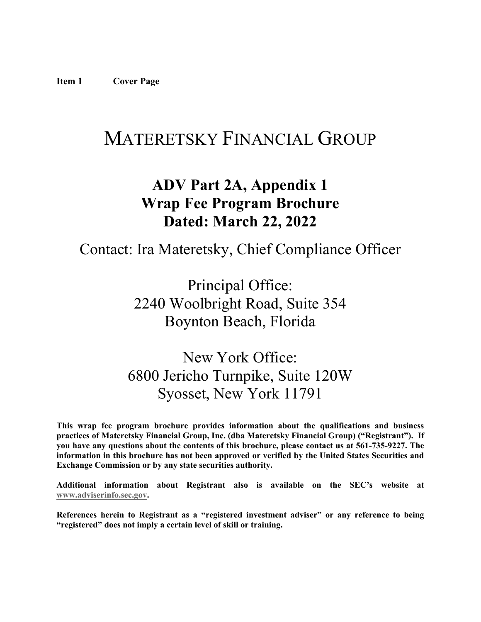# <span id="page-0-0"></span>MATERETSKY FINANCIAL GROUP

## **ADV Part 2A, Appendix 1 Wrap Fee Program Brochure Dated: March 22, 2022**

## Contact: Ira Materetsky, Chief Compliance Officer

Principal Office: 2240 Woolbright Road, Suite 354 Boynton Beach, Florida

## New York Office: 6800 Jericho Turnpike, Suite 120W Syosset, New York 11791

**This wrap fee program brochure provides information about the qualifications and business practices of Materetsky Financial Group, Inc. (dba Materetsky Financial Group) ("Registrant"). If you have any questions about the contents of this brochure, please contact us at 561-735-9227. The information in this brochure has not been approved or verified by the United States Securities and Exchange Commission or by any state securities authority.**

**Additional information about Registrant also is available on the SEC's website at [www.adviserinfo.sec.gov.](http://www.adviserinfo.sec.gov/)**

**References herein to Registrant as a "registered investment adviser" or any reference to being "registered" does not imply a certain level of skill or training.**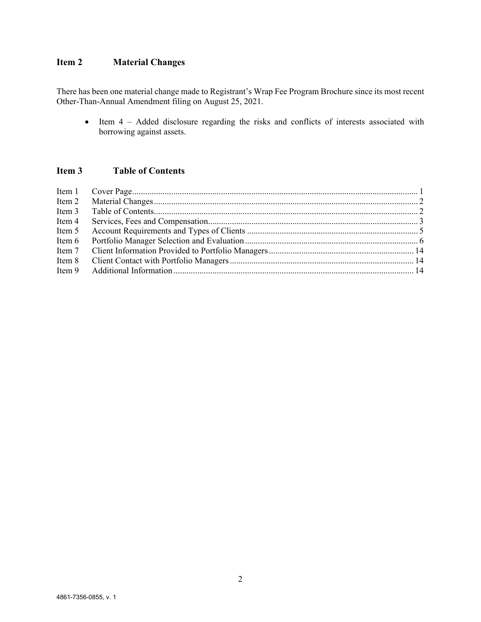## <span id="page-1-0"></span>**Item 2 Material Changes**

There has been one material change made to Registrant's Wrap Fee Program Brochure since its most recent Other-Than-Annual Amendment filing on August 25, 2021.

• Item 4 – Added disclosure regarding the risks and conflicts of interests associated with borrowing against assets.

## <span id="page-1-1"></span>**Item 3 Table of Contents**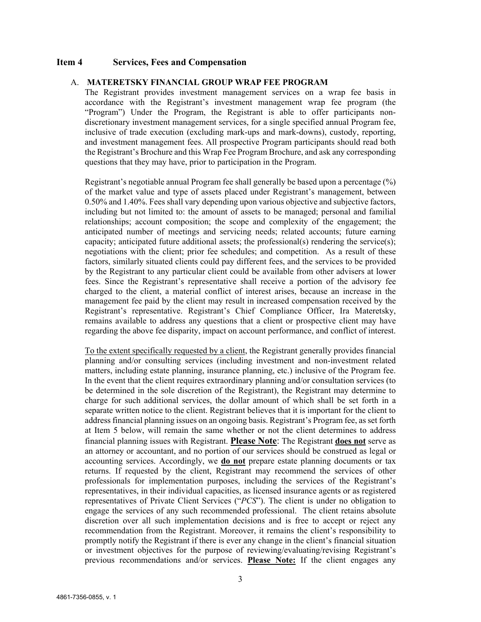#### <span id="page-2-0"></span>**Item 4 Services, Fees and Compensation**

#### A. **MATERETSKY FINANCIAL GROUP WRAP FEE PROGRAM**

The Registrant provides investment management services on a wrap fee basis in accordance with the Registrant's investment management wrap fee program (the "Program") Under the Program, the Registrant is able to offer participants nondiscretionary investment management services, for a single specified annual Program fee, inclusive of trade execution (excluding mark-ups and mark-downs), custody, reporting, and investment management fees. All prospective Program participants should read both the Registrant's Brochure and this Wrap Fee Program Brochure, and ask any corresponding questions that they may have, prior to participation in the Program.

Registrant's negotiable annual Program fee shall generally be based upon a percentage (%) of the market value and type of assets placed under Registrant's management, between 0.50% and 1.40%. Fees shall vary depending upon various objective and subjective factors, including but not limited to: the amount of assets to be managed; personal and familial relationships; account composition; the scope and complexity of the engagement; the anticipated number of meetings and servicing needs; related accounts; future earning capacity; anticipated future additional assets; the professional(s) rendering the service(s); negotiations with the client; prior fee schedules; and competition. As a result of these factors, similarly situated clients could pay different fees, and the services to be provided by the Registrant to any particular client could be available from other advisers at lower fees. Since the Registrant's representative shall receive a portion of the advisory fee charged to the client, a material conflict of interest arises, because an increase in the management fee paid by the client may result in increased compensation received by the Registrant's representative. Registrant's Chief Compliance Officer, Ira Materetsky, remains available to address any questions that a client or prospective client may have regarding the above fee disparity, impact on account performance, and conflict of interest.

To the extent specifically requested by a client, the Registrant generally provides financial planning and/or consulting services (including investment and non-investment related matters, including estate planning, insurance planning, etc.) inclusive of the Program fee. In the event that the client requires extraordinary planning and/or consultation services (to be determined in the sole discretion of the Registrant), the Registrant may determine to charge for such additional services, the dollar amount of which shall be set forth in a separate written notice to the client. Registrant believes that it is important for the client to address financial planning issues on an ongoing basis. Registrant's Program fee, as set forth at Item 5 below, will remain the same whether or not the client determines to address financial planning issues with Registrant. **Please Note**: The Registrant **does not** serve as an attorney or accountant, and no portion of our services should be construed as legal or accounting services. Accordingly, we **do not** prepare estate planning documents or tax returns. If requested by the client, Registrant may recommend the services of other professionals for implementation purposes, including the services of the Registrant's representatives, in their individual capacities, as licensed insurance agents or as registered representatives of Private Client Services ("*PCS*"). The client is under no obligation to engage the services of any such recommended professional. The client retains absolute discretion over all such implementation decisions and is free to accept or reject any recommendation from the Registrant. Moreover, it remains the client's responsibility to promptly notify the Registrant if there is ever any change in the client's financial situation or investment objectives for the purpose of reviewing/evaluating/revising Registrant's previous recommendations and/or services. **Please Note:** If the client engages any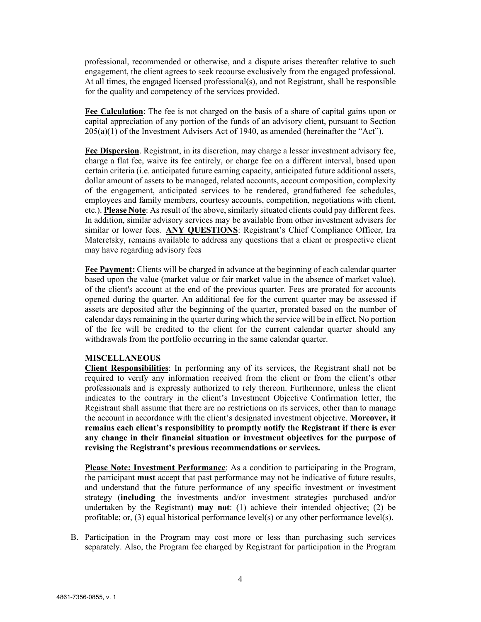professional, recommended or otherwise, and a dispute arises thereafter relative to such engagement, the client agrees to seek recourse exclusively from the engaged professional. At all times, the engaged licensed professional(s), and not Registrant, shall be responsible for the quality and competency of the services provided.

**Fee Calculation**: The fee is not charged on the basis of a share of capital gains upon or capital appreciation of any portion of the funds of an advisory client, pursuant to Section 205(a)(1) of the Investment Advisers Act of 1940, as amended (hereinafter the "Act").

**Fee Dispersion**. Registrant, in its discretion, may charge a lesser investment advisory fee, charge a flat fee, waive its fee entirely, or charge fee on a different interval, based upon certain criteria (i.e. anticipated future earning capacity, anticipated future additional assets, dollar amount of assets to be managed, related accounts, account composition, complexity of the engagement, anticipated services to be rendered, grandfathered fee schedules, employees and family members, courtesy accounts, competition, negotiations with client, etc.). **Please Note**: As result of the above, similarly situated clients could pay different fees. In addition, similar advisory services may be available from other investment advisers for similar or lower fees. **ANY QUESTIONS**: Registrant's Chief Compliance Officer, Ira Materetsky, remains available to address any questions that a client or prospective client may have regarding advisory fees

**Fee Payment:** Clients will be charged in advance at the beginning of each calendar quarter based upon the value (market value or fair market value in the absence of market value), of the client's account at the end of the previous quarter. Fees are prorated for accounts opened during the quarter. An additional fee for the current quarter may be assessed if assets are deposited after the beginning of the quarter, prorated based on the number of calendar days remaining in the quarter during which the service will be in effect. No portion of the fee will be credited to the client for the current calendar quarter should any withdrawals from the portfolio occurring in the same calendar quarter.

#### **MISCELLANEOUS**

**Client Responsibilities**: In performing any of its services, the Registrant shall not be required to verify any information received from the client or from the client's other professionals and is expressly authorized to rely thereon. Furthermore, unless the client indicates to the contrary in the client's Investment Objective Confirmation letter, the Registrant shall assume that there are no restrictions on its services, other than to manage the account in accordance with the client's designated investment objective. **Moreover, it remains each client's responsibility to promptly notify the Registrant if there is ever any change in their financial situation or investment objectives for the purpose of revising the Registrant's previous recommendations or services.** 

**Please Note: Investment Performance**: As a condition to participating in the Program, the participant **must** accept that past performance may not be indicative of future results, and understand that the future performance of any specific investment or investment strategy (**including** the investments and/or investment strategies purchased and/or undertaken by the Registrant) **may not**: (1) achieve their intended objective; (2) be profitable; or, (3) equal historical performance level(s) or any other performance level(s).

B. Participation in the Program may cost more or less than purchasing such services separately. Also, the Program fee charged by Registrant for participation in the Program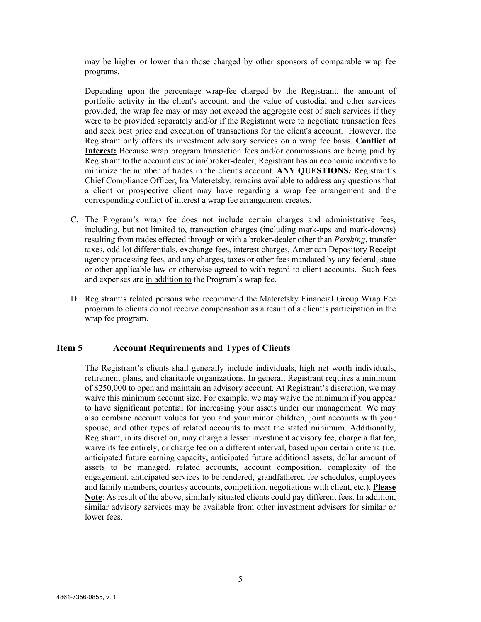may be higher or lower than those charged by other sponsors of comparable wrap fee programs.

Depending upon the percentage wrap-fee charged by the Registrant, the amount of portfolio activity in the client's account, and the value of custodial and other services provided, the wrap fee may or may not exceed the aggregate cost of such services if they were to be provided separately and/or if the Registrant were to negotiate transaction fees and seek best price and execution of transactions for the client's account. However, the Registrant only offers its investment advisory services on a wrap fee basis. **Conflict of Interest:** Because wrap program transaction fees and/or commissions are being paid by Registrant to the account custodian/broker-dealer, Registrant has an economic incentive to minimize the number of trades in the client's account. **ANY QUESTIONS***:* Registrant's Chief Compliance Officer, Ira Materetsky, remains available to address any questions that a client or prospective client may have regarding a wrap fee arrangement and the corresponding conflict of interest a wrap fee arrangement creates.

- C. The Program's wrap fee does not include certain charges and administrative fees, including, but not limited to, transaction charges (including mark-ups and mark-downs) resulting from trades effected through or with a broker-dealer other than *Pershing*, transfer taxes, odd lot differentials, exchange fees, interest charges, American Depository Receipt agency processing fees, and any charges, taxes or other fees mandated by any federal, state or other applicable law or otherwise agreed to with regard to client accounts. Such fees and expenses are in addition to the Program's wrap fee.
- D. Registrant's related persons who recommend the Materetsky Financial Group Wrap Fee program to clients do not receive compensation as a result of a client's participation in the wrap fee program.

#### <span id="page-4-0"></span>**Item 5 Account Requirements and Types of Clients**

The Registrant's clients shall generally include individuals, high net worth individuals, retirement plans, and charitable organizations. In general, Registrant requires a minimum of \$250,000 to open and maintain an advisory account. At Registrant's discretion, we may waive this minimum account size. For example, we may waive the minimum if you appear to have significant potential for increasing your assets under our management. We may also combine account values for you and your minor children, joint accounts with your spouse, and other types of related accounts to meet the stated minimum. Additionally, Registrant, in its discretion, may charge a lesser investment advisory fee, charge a flat fee, waive its fee entirely, or charge fee on a different interval, based upon certain criteria (i.e. anticipated future earning capacity, anticipated future additional assets, dollar amount of assets to be managed, related accounts, account composition, complexity of the engagement, anticipated services to be rendered, grandfathered fee schedules, employees and family members, courtesy accounts, competition, negotiations with client, etc.). **Please Note**: As result of the above, similarly situated clients could pay different fees. In addition, similar advisory services may be available from other investment advisers for similar or lower fees.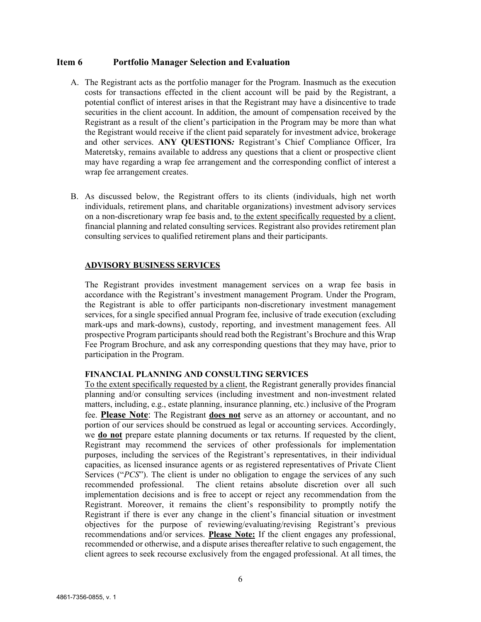#### <span id="page-5-0"></span>**Item 6 Portfolio Manager Selection and Evaluation**

- A. The Registrant acts as the portfolio manager for the Program. Inasmuch as the execution costs for transactions effected in the client account will be paid by the Registrant, a potential conflict of interest arises in that the Registrant may have a disincentive to trade securities in the client account. In addition, the amount of compensation received by the Registrant as a result of the client's participation in the Program may be more than what the Registrant would receive if the client paid separately for investment advice, brokerage and other services. **ANY QUESTIONS***:* Registrant's Chief Compliance Officer, Ira Materetsky, remains available to address any questions that a client or prospective client may have regarding a wrap fee arrangement and the corresponding conflict of interest a wrap fee arrangement creates.
- B. As discussed below, the Registrant offers to its clients (individuals, high net worth individuals, retirement plans, and charitable organizations) investment advisory services on a non-discretionary wrap fee basis and, to the extent specifically requested by a client, financial planning and related consulting services. Registrant also provides retirement plan consulting services to qualified retirement plans and their participants.

#### **ADVISORY BUSINESS SERVICES**

The Registrant provides investment management services on a wrap fee basis in accordance with the Registrant's investment management Program. Under the Program, the Registrant is able to offer participants non-discretionary investment management services, for a single specified annual Program fee, inclusive of trade execution (excluding mark-ups and mark-downs), custody, reporting, and investment management fees. All prospective Program participants should read both the Registrant's Brochure and this Wrap Fee Program Brochure, and ask any corresponding questions that they may have, prior to participation in the Program.

## **FINANCIAL PLANNING AND CONSULTING SERVICES**

To the extent specifically requested by a client, the Registrant generally provides financial planning and/or consulting services (including investment and non-investment related matters, including, e.g., estate planning, insurance planning, etc.) inclusive of the Program fee. **Please Note**: The Registrant **does not** serve as an attorney or accountant, and no portion of our services should be construed as legal or accounting services. Accordingly, we **do not** prepare estate planning documents or tax returns. If requested by the client, Registrant may recommend the services of other professionals for implementation purposes, including the services of the Registrant's representatives, in their individual capacities, as licensed insurance agents or as registered representatives of Private Client Services ("*PCS*"). The client is under no obligation to engage the services of any such recommended professional. The client retains absolute discretion over all such implementation decisions and is free to accept or reject any recommendation from the Registrant. Moreover, it remains the client's responsibility to promptly notify the Registrant if there is ever any change in the client's financial situation or investment objectives for the purpose of reviewing/evaluating/revising Registrant's previous recommendations and/or services. **Please Note:** If the client engages any professional, recommended or otherwise, and a dispute arises thereafter relative to such engagement, the client agrees to seek recourse exclusively from the engaged professional. At all times, the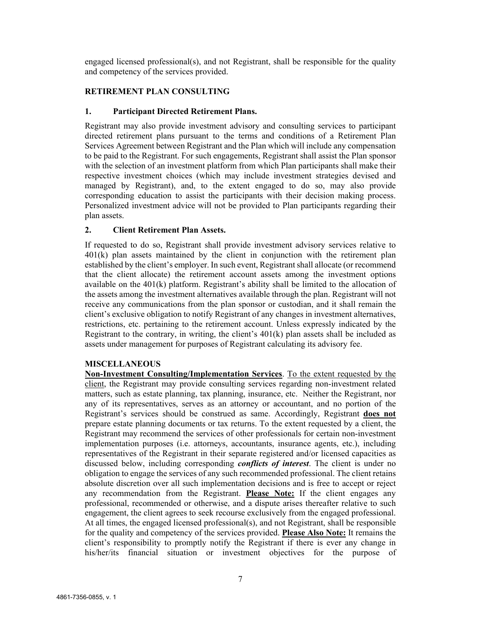engaged licensed professional(s), and not Registrant, shall be responsible for the quality and competency of the services provided.

## **RETIREMENT PLAN CONSULTING**

#### **1. Participant Directed Retirement Plans.**

Registrant may also provide investment advisory and consulting services to participant directed retirement plans pursuant to the terms and conditions of a Retirement Plan Services Agreement between Registrant and the Plan which will include any compensation to be paid to the Registrant. For such engagements, Registrant shall assist the Plan sponsor with the selection of an investment platform from which Plan participants shall make their respective investment choices (which may include investment strategies devised and managed by Registrant), and, to the extent engaged to do so, may also provide corresponding education to assist the participants with their decision making process. Personalized investment advice will not be provided to Plan participants regarding their plan assets.

### **2. Client Retirement Plan Assets.**

If requested to do so, Registrant shall provide investment advisory services relative to 401(k) plan assets maintained by the client in conjunction with the retirement plan established by the client's employer. In such event, Registrant shall allocate (or recommend that the client allocate) the retirement account assets among the investment options available on the 401(k) platform. Registrant's ability shall be limited to the allocation of the assets among the investment alternatives available through the plan. Registrant will not receive any communications from the plan sponsor or custodian, and it shall remain the client's exclusive obligation to notify Registrant of any changes in investment alternatives, restrictions, etc. pertaining to the retirement account. Unless expressly indicated by the Registrant to the contrary, in writing, the client's  $401(k)$  plan assets shall be included as assets under management for purposes of Registrant calculating its advisory fee.

#### **MISCELLANEOUS**

**Non-Investment Consulting/Implementation Services**. To the extent requested by the client, the Registrant may provide consulting services regarding non-investment related matters, such as estate planning, tax planning, insurance, etc. Neither the Registrant, nor any of its representatives, serves as an attorney or accountant, and no portion of the Registrant's services should be construed as same. Accordingly, Registrant **does not** prepare estate planning documents or tax returns. To the extent requested by a client, the Registrant may recommend the services of other professionals for certain non-investment implementation purposes (i.e. attorneys, accountants, insurance agents, etc.), including representatives of the Registrant in their separate registered and/or licensed capacities as discussed below, including corresponding *conflicts of interest*. The client is under no obligation to engage the services of any such recommended professional. The client retains absolute discretion over all such implementation decisions and is free to accept or reject any recommendation from the Registrant. **Please Note:** If the client engages any professional, recommended or otherwise, and a dispute arises thereafter relative to such engagement, the client agrees to seek recourse exclusively from the engaged professional. At all times, the engaged licensed professional(s), and not Registrant, shall be responsible for the quality and competency of the services provided. **Please Also Note:** It remains the client's responsibility to promptly notify the Registrant if there is ever any change in his/her/its financial situation or investment objectives for the purpose of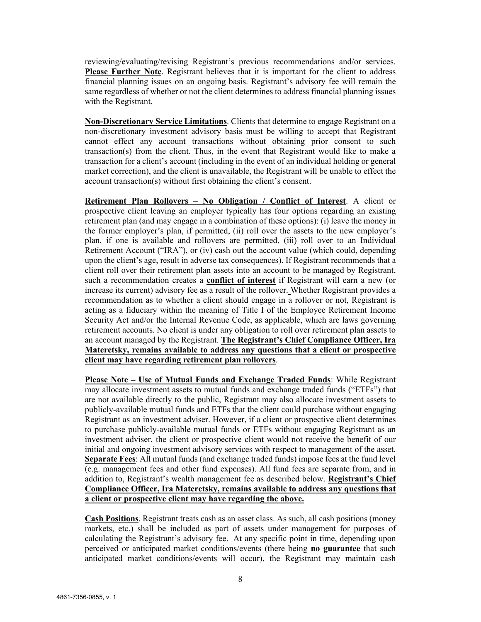reviewing/evaluating/revising Registrant's previous recommendations and/or services. **Please Further Note**. Registrant believes that it is important for the client to address financial planning issues on an ongoing basis. Registrant's advisory fee will remain the same regardless of whether or not the client determines to address financial planning issues with the Registrant.

**Non-Discretionary Service Limitations**. Clients that determine to engage Registrant on a non-discretionary investment advisory basis must be willing to accept that Registrant cannot effect any account transactions without obtaining prior consent to such transaction(s) from the client. Thus, in the event that Registrant would like to make a transaction for a client's account (including in the event of an individual holding or general market correction), and the client is unavailable, the Registrant will be unable to effect the account transaction(s) without first obtaining the client's consent.

**Retirement Plan Rollovers – No Obligation / Conflict of Interest**. A client or prospective client leaving an employer typically has four options regarding an existing retirement plan (and may engage in a combination of these options): (i) leave the money in the former employer's plan, if permitted, (ii) roll over the assets to the new employer's plan, if one is available and rollovers are permitted, (iii) roll over to an Individual Retirement Account ("IRA"), or (iv) cash out the account value (which could, depending upon the client's age, result in adverse tax consequences). If Registrant recommends that a client roll over their retirement plan assets into an account to be managed by Registrant, such a recommendation creates a **conflict of interest** if Registrant will earn a new (or increase its current) advisory fee as a result of the rollover. Whether Registrant provides a recommendation as to whether a client should engage in a rollover or not, Registrant is acting as a fiduciary within the meaning of Title I of the Employee Retirement Income Security Act and/or the Internal Revenue Code, as applicable, which are laws governing retirement accounts. No client is under any obligation to roll over retirement plan assets to an account managed by the Registrant. **The Registrant's Chief Compliance Officer, Ira Materetsky, remains available to address any questions that a client or prospective client may have regarding retirement plan rollovers**.

**Please Note – Use of Mutual Funds and Exchange Traded Funds**: While Registrant may allocate investment assets to mutual funds and exchange traded funds ("ETFs") that are not available directly to the public, Registrant may also allocate investment assets to publicly-available mutual funds and ETFs that the client could purchase without engaging Registrant as an investment adviser. However, if a client or prospective client determines to purchase publicly-available mutual funds or ETFs without engaging Registrant as an investment adviser, the client or prospective client would not receive the benefit of our initial and ongoing investment advisory services with respect to management of the asset. **Separate Fees**: All mutual funds (and exchange traded funds) impose fees at the fund level (e.g. management fees and other fund expenses). All fund fees are separate from, and in addition to, Registrant's wealth management fee as described below. **Registrant's Chief Compliance Officer, Ira Materetsky, remains available to address any questions that a client or prospective client may have regarding the above.**

**Cash Positions**. Registrant treats cash as an asset class. As such, all cash positions (money markets, etc.) shall be included as part of assets under management for purposes of calculating the Registrant's advisory fee. At any specific point in time, depending upon perceived or anticipated market conditions/events (there being **no guarantee** that such anticipated market conditions/events will occur), the Registrant may maintain cash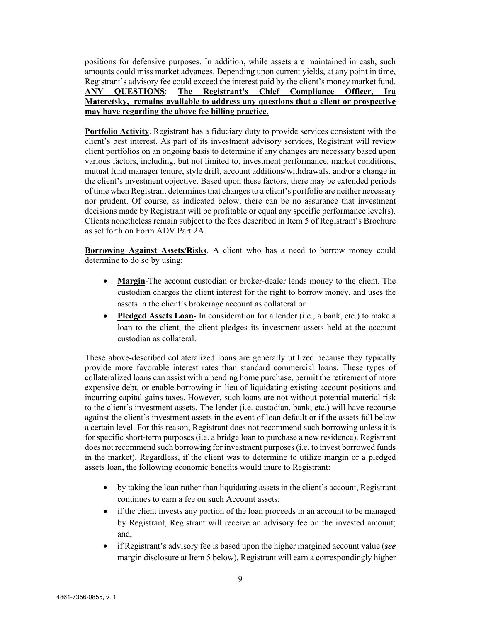positions for defensive purposes. In addition, while assets are maintained in cash, such amounts could miss market advances. Depending upon current yields, at any point in time, Registrant's advisory fee could exceed the interest paid by the client's money market fund. **ANY QUESTIONS**: **The Registrant's Chief Compliance Officer, Ira Materetsky, remains available to address any questions that a client or prospective may have regarding the above fee billing practice.**

**Portfolio Activity**. Registrant has a fiduciary duty to provide services consistent with the client's best interest. As part of its investment advisory services, Registrant will review client portfolios on an ongoing basis to determine if any changes are necessary based upon various factors, including, but not limited to, investment performance, market conditions, mutual fund manager tenure, style drift, account additions/withdrawals, and/or a change in the client's investment objective. Based upon these factors, there may be extended periods of time when Registrant determines that changes to a client's portfolio are neither necessary nor prudent. Of course, as indicated below, there can be no assurance that investment decisions made by Registrant will be profitable or equal any specific performance level(s). Clients nonetheless remain subject to the fees described in Item 5 of Registrant's Brochure as set forth on Form ADV Part 2A.

**Borrowing Against Assets/Risks**. A client who has a need to borrow money could determine to do so by using:

- **Margin**-The account custodian or broker-dealer lends money to the client. The custodian charges the client interest for the right to borrow money, and uses the assets in the client's brokerage account as collateral or
- **Pledged Assets Loan** In consideration for a lender (i.e., a bank, etc.) to make a loan to the client, the client pledges its investment assets held at the account custodian as collateral.

These above-described collateralized loans are generally utilized because they typically provide more favorable interest rates than standard commercial loans. These types of collateralized loans can assist with a pending home purchase, permit the retirement of more expensive debt, or enable borrowing in lieu of liquidating existing account positions and incurring capital gains taxes. However, such loans are not without potential material risk to the client's investment assets. The lender (i.e. custodian, bank, etc.) will have recourse against the client's investment assets in the event of loan default or if the assets fall below a certain level. For this reason, Registrant does not recommend such borrowing unless it is for specific short-term purposes (i.e. a bridge loan to purchase a new residence). Registrant does not recommend such borrowing for investment purposes (i.e. to invest borrowed funds in the market). Regardless, if the client was to determine to utilize margin or a pledged assets loan, the following economic benefits would inure to Registrant:

- by taking the loan rather than liquidating assets in the client's account, Registrant continues to earn a fee on such Account assets;
- if the client invests any portion of the loan proceeds in an account to be managed by Registrant, Registrant will receive an advisory fee on the invested amount; and,
- if Registrant's advisory fee is based upon the higher margined account value (*see* margin disclosure at Item 5 below), Registrant will earn a correspondingly higher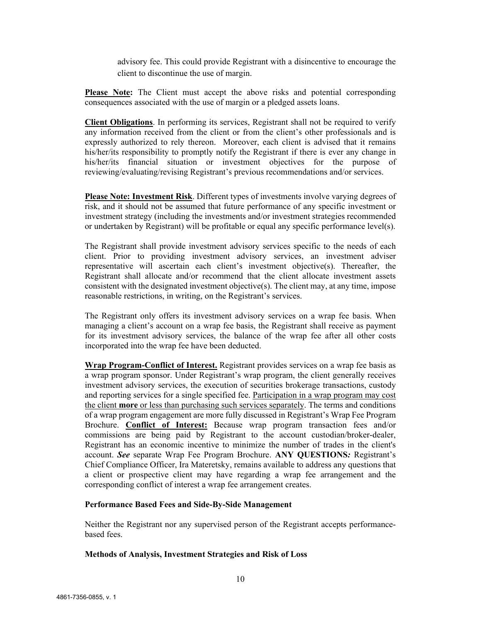advisory fee. This could provide Registrant with a disincentive to encourage the client to discontinue the use of margin.

**Please Note:** The Client must accept the above risks and potential corresponding consequences associated with the use of margin or a pledged assets loans.

**Client Obligations**. In performing its services, Registrant shall not be required to verify any information received from the client or from the client's other professionals and is expressly authorized to rely thereon. Moreover, each client is advised that it remains his/her/its responsibility to promptly notify the Registrant if there is ever any change in his/her/its financial situation or investment objectives for the purpose of reviewing/evaluating/revising Registrant's previous recommendations and/or services.

**Please Note: Investment Risk**. Different types of investments involve varying degrees of risk, and it should not be assumed that future performance of any specific investment or investment strategy (including the investments and/or investment strategies recommended or undertaken by Registrant) will be profitable or equal any specific performance level(s).

The Registrant shall provide investment advisory services specific to the needs of each client. Prior to providing investment advisory services, an investment adviser representative will ascertain each client's investment objective(s). Thereafter, the Registrant shall allocate and/or recommend that the client allocate investment assets consistent with the designated investment objective(s). The client may, at any time, impose reasonable restrictions, in writing, on the Registrant's services.

The Registrant only offers its investment advisory services on a wrap fee basis. When managing a client's account on a wrap fee basis, the Registrant shall receive as payment for its investment advisory services, the balance of the wrap fee after all other costs incorporated into the wrap fee have been deducted.

**Wrap Program-Conflict of Interest.** Registrant provides services on a wrap fee basis as a wrap program sponsor. Under Registrant's wrap program, the client generally receives investment advisory services, the execution of securities brokerage transactions, custody and reporting services for a single specified fee. Participation in a wrap program may cost the client **more** or less than purchasing such services separately. The terms and conditions of a wrap program engagement are more fully discussed in Registrant's Wrap Fee Program Brochure. **Conflict of Interest:** Because wrap program transaction fees and/or commissions are being paid by Registrant to the account custodian/broker-dealer, Registrant has an economic incentive to minimize the number of trades in the client's account. *See* separate Wrap Fee Program Brochure. **ANY QUESTIONS***:* Registrant's Chief Compliance Officer, Ira Materetsky, remains available to address any questions that a client or prospective client may have regarding a wrap fee arrangement and the corresponding conflict of interest a wrap fee arrangement creates.

#### **Performance Based Fees and Side-By-Side Management**

Neither the Registrant nor any supervised person of the Registrant accepts performancebased fees.

#### **Methods of Analysis, Investment Strategies and Risk of Loss**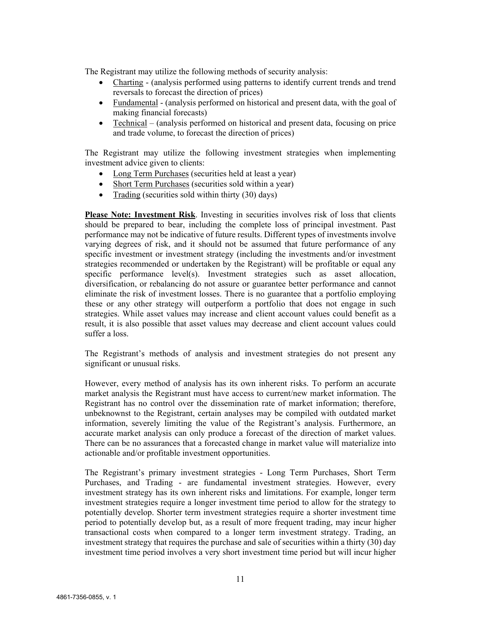The Registrant may utilize the following methods of security analysis:

- Charting (analysis performed using patterns to identify current trends and trend reversals to forecast the direction of prices)
- Fundamental (analysis performed on historical and present data, with the goal of making financial forecasts)
- Technical (analysis performed on historical and present data, focusing on price and trade volume, to forecast the direction of prices)

The Registrant may utilize the following investment strategies when implementing investment advice given to clients:

- Long Term Purchases (securities held at least a year)
- Short Term Purchases (securities sold within a year)
- Trading (securities sold within thirty (30) days)

**Please Note: Investment Risk**. Investing in securities involves risk of loss that clients should be prepared to bear, including the complete loss of principal investment. Past performance may not be indicative of future results. Different types of investments involve varying degrees of risk, and it should not be assumed that future performance of any specific investment or investment strategy (including the investments and/or investment strategies recommended or undertaken by the Registrant) will be profitable or equal any specific performance level(s). Investment strategies such as asset allocation, diversification, or rebalancing do not assure or guarantee better performance and cannot eliminate the risk of investment losses. There is no guarantee that a portfolio employing these or any other strategy will outperform a portfolio that does not engage in such strategies. While asset values may increase and client account values could benefit as a result, it is also possible that asset values may decrease and client account values could suffer a loss.

The Registrant's methods of analysis and investment strategies do not present any significant or unusual risks.

However, every method of analysis has its own inherent risks. To perform an accurate market analysis the Registrant must have access to current/new market information. The Registrant has no control over the dissemination rate of market information; therefore, unbeknownst to the Registrant, certain analyses may be compiled with outdated market information, severely limiting the value of the Registrant's analysis. Furthermore, an accurate market analysis can only produce a forecast of the direction of market values. There can be no assurances that a forecasted change in market value will materialize into actionable and/or profitable investment opportunities.

The Registrant's primary investment strategies - Long Term Purchases, Short Term Purchases, and Trading - are fundamental investment strategies. However, every investment strategy has its own inherent risks and limitations. For example, longer term investment strategies require a longer investment time period to allow for the strategy to potentially develop. Shorter term investment strategies require a shorter investment time period to potentially develop but, as a result of more frequent trading, may incur higher transactional costs when compared to a longer term investment strategy. Trading, an investment strategy that requires the purchase and sale of securities within a thirty (30) day investment time period involves a very short investment time period but will incur higher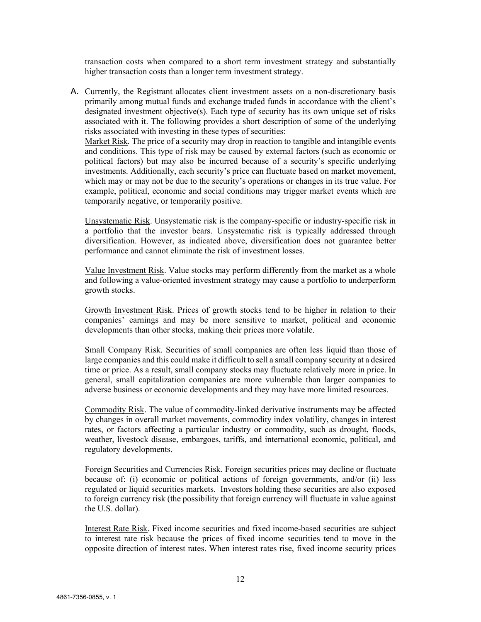transaction costs when compared to a short term investment strategy and substantially higher transaction costs than a longer term investment strategy.

A. Currently, the Registrant allocates client investment assets on a non-discretionary basis primarily among mutual funds and exchange traded funds in accordance with the client's designated investment objective(s). Each type of security has its own unique set of risks associated with it. The following provides a short description of some of the underlying risks associated with investing in these types of securities:

Market Risk. The price of a security may drop in reaction to tangible and intangible events and conditions. This type of risk may be caused by external factors (such as economic or political factors) but may also be incurred because of a security's specific underlying investments. Additionally, each security's price can fluctuate based on market movement, which may or may not be due to the security's operations or changes in its true value. For example, political, economic and social conditions may trigger market events which are temporarily negative, or temporarily positive.

Unsystematic Risk. Unsystematic risk is the company-specific or industry-specific risk in a portfolio that the investor bears. Unsystematic risk is typically addressed through diversification. However, as indicated above, diversification does not guarantee better performance and cannot eliminate the risk of investment losses.

Value Investment Risk. Value stocks may perform differently from the market as a whole and following a value-oriented investment strategy may cause a portfolio to underperform growth stocks.

Growth Investment Risk. Prices of growth stocks tend to be higher in relation to their companies' earnings and may be more sensitive to market, political and economic developments than other stocks, making their prices more volatile.

Small Company Risk. Securities of small companies are often less liquid than those of large companies and this could make it difficult to sell a small company security at a desired time or price. As a result, small company stocks may fluctuate relatively more in price. In general, small capitalization companies are more vulnerable than larger companies to adverse business or economic developments and they may have more limited resources.

Commodity Risk. The value of commodity-linked derivative instruments may be affected by changes in overall market movements, commodity index volatility, changes in interest rates, or factors affecting a particular industry or commodity, such as drought, floods, weather, livestock disease, embargoes, tariffs, and international economic, political, and regulatory developments.

Foreign Securities and Currencies Risk. Foreign securities prices may decline or fluctuate because of: (i) economic or political actions of foreign governments, and/or (ii) less regulated or liquid securities markets. Investors holding these securities are also exposed to foreign currency risk (the possibility that foreign currency will fluctuate in value against the U.S. dollar).

Interest Rate Risk. Fixed income securities and fixed income-based securities are subject to interest rate risk because the prices of fixed income securities tend to move in the opposite direction of interest rates. When interest rates rise, fixed income security prices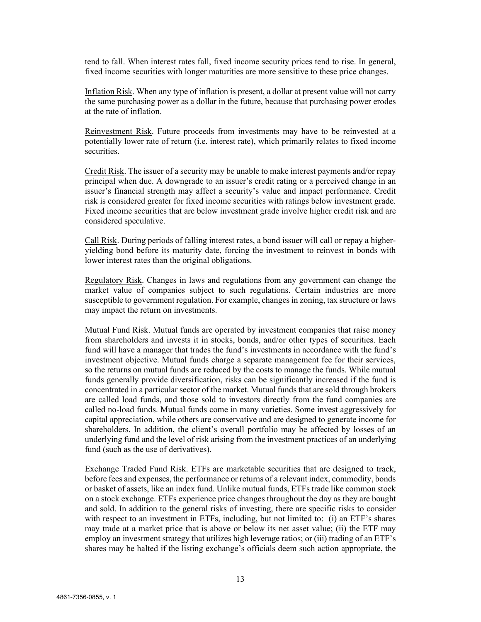tend to fall. When interest rates fall, fixed income security prices tend to rise. In general, fixed income securities with longer maturities are more sensitive to these price changes.

Inflation Risk. When any type of inflation is present, a dollar at present value will not carry the same purchasing power as a dollar in the future, because that purchasing power erodes at the rate of inflation.

Reinvestment Risk. Future proceeds from investments may have to be reinvested at a potentially lower rate of return (i.e. interest rate), which primarily relates to fixed income securities.

Credit Risk. The issuer of a security may be unable to make interest payments and/or repay principal when due. A downgrade to an issuer's credit rating or a perceived change in an issuer's financial strength may affect a security's value and impact performance. Credit risk is considered greater for fixed income securities with ratings below investment grade. Fixed income securities that are below investment grade involve higher credit risk and are considered speculative.

Call Risk. During periods of falling interest rates, a bond issuer will call or repay a higheryielding bond before its maturity date, forcing the investment to reinvest in bonds with lower interest rates than the original obligations.

Regulatory Risk. Changes in laws and regulations from any government can change the market value of companies subject to such regulations. Certain industries are more susceptible to government regulation. For example, changes in zoning, tax structure or laws may impact the return on investments.

Mutual Fund Risk. Mutual funds are operated by investment companies that raise money from shareholders and invests it in stocks, bonds, and/or other types of securities. Each fund will have a manager that trades the fund's investments in accordance with the fund's investment objective. Mutual funds charge a separate management fee for their services, so the returns on mutual funds are reduced by the costs to manage the funds. While mutual funds generally provide diversification, risks can be significantly increased if the fund is concentrated in a particular sector of the market. Mutual funds that are sold through brokers are called load funds, and those sold to investors directly from the fund companies are called no-load funds. Mutual funds come in many varieties. Some invest aggressively for capital appreciation, while others are conservative and are designed to generate income for shareholders. In addition, the client's overall portfolio may be affected by losses of an underlying fund and the level of risk arising from the investment practices of an underlying fund (such as the use of derivatives).

Exchange Traded Fund Risk. ETFs are marketable securities that are designed to track, before fees and expenses, the performance or returns of a relevant index, commodity, bonds or basket of assets, like an index fund. Unlike mutual funds, ETFs trade like common stock on a stock exchange. ETFs experience price changes throughout the day as they are bought and sold. In addition to the general risks of investing, there are specific risks to consider with respect to an investment in ETFs, including, but not limited to: (i) an ETF's shares may trade at a market price that is above or below its net asset value; (ii) the ETF may employ an investment strategy that utilizes high leverage ratios; or (iii) trading of an ETF's shares may be halted if the listing exchange's officials deem such action appropriate, the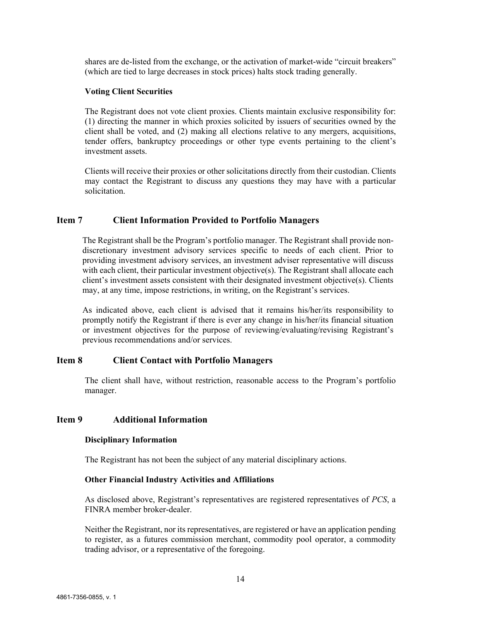shares are de-listed from the exchange, or the activation of market-wide "circuit breakers" (which are tied to large decreases in stock prices) halts stock trading generally.

#### **Voting Client Securities**

The Registrant does not vote client proxies. Clients maintain exclusive responsibility for: (1) directing the manner in which proxies solicited by issuers of securities owned by the client shall be voted, and (2) making all elections relative to any mergers, acquisitions, tender offers, bankruptcy proceedings or other type events pertaining to the client's investment assets.

Clients will receive their proxies or other solicitations directly from their custodian. Clients may contact the Registrant to discuss any questions they may have with a particular solicitation.

## <span id="page-13-0"></span>**Item 7 Client Information Provided to Portfolio Managers**

The Registrant shall be the Program's portfolio manager. The Registrant shall provide nondiscretionary investment advisory services specific to needs of each client. Prior to providing investment advisory services, an investment adviser representative will discuss with each client, their particular investment objective(s). The Registrant shall allocate each client's investment assets consistent with their designated investment objective(s). Clients may, at any time, impose restrictions, in writing, on the Registrant's services.

As indicated above, each client is advised that it remains his/her/its responsibility to promptly notify the Registrant if there is ever any change in his/her/its financial situation or investment objectives for the purpose of reviewing/evaluating/revising Registrant's previous recommendations and/or services.

#### <span id="page-13-1"></span>**Item 8 Client Contact with Portfolio Managers**

The client shall have, without restriction, reasonable access to the Program's portfolio manager.

#### <span id="page-13-2"></span>**Item 9 Additional Information**

#### **Disciplinary Information**

The Registrant has not been the subject of any material disciplinary actions.

#### **Other Financial Industry Activities and Affiliations**

As disclosed above, Registrant's representatives are registered representatives of *PCS*, a FINRA member broker-dealer.

Neither the Registrant, nor its representatives, are registered or have an application pending to register, as a futures commission merchant, commodity pool operator, a commodity trading advisor, or a representative of the foregoing.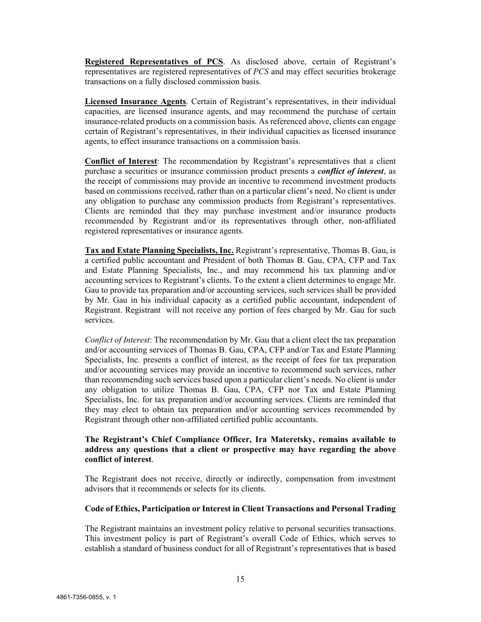**Registered Representatives of PCS**. As disclosed above, certain of Registrant's representatives are registered representatives of *PCS* and may effect securities brokerage transactions on a fully disclosed commission basis.

**Licensed Insurance Agents**. Certain of Registrant's representatives, in their individual capacities, are licensed insurance agents, and may recommend the purchase of certain insurance-related products on a commission basis. As referenced above, clients can engage certain of Registrant's representatives, in their individual capacities as licensed insurance agents, to effect insurance transactions on a commission basis.

**Conflict of Interest**: The recommendation by Registrant's representatives that a client purchase a securities or insurance commission product presents a *conflict of interest*, as the receipt of commissions may provide an incentive to recommend investment products based on commissions received, rather than on a particular client's need. No client is under any obligation to purchase any commission products from Registrant's representatives. Clients are reminded that they may purchase investment and/or insurance products recommended by Registrant and/or its representatives through other, non-affiliated registered representatives or insurance agents.

**Tax and Estate Planning Specialists, Inc.** Registrant's representative, Thomas B. Gau, is a certified public accountant and President of both Thomas B. Gau, CPA, CFP and Tax and Estate Planning Specialists, Inc., and may recommend his tax planning and/or accounting services to Registrant's clients. To the extent a client determines to engage Mr. Gau to provide tax preparation and/or accounting services, such services shall be provided by Mr. Gau in his individual capacity as a certified public accountant, independent of Registrant. Registrant will not receive any portion of fees charged by Mr. Gau for such services.

*Conflict of Interest*: The recommendation by Mr. Gau that a client elect the tax preparation and/or accounting services of Thomas B. Gau, CPA, CFP and/or Tax and Estate Planning Specialists, Inc. presents a conflict of interest, as the receipt of fees for tax preparation and/or accounting services may provide an incentive to recommend such services, rather than recommending such services based upon a particular client's needs. No client is under any obligation to utilize Thomas B. Gau, CPA, CFP nor Tax and Estate Planning Specialists, Inc. for tax preparation and/or accounting services. Clients are reminded that they may elect to obtain tax preparation and/or accounting services recommended by Registrant through other non-affiliated certified public accountants.

#### **The Registrant's Chief Compliance Officer, Ira Materetsky, remains available to address any questions that a client or prospective may have regarding the above conflict of interest**.

The Registrant does not receive, directly or indirectly, compensation from investment advisors that it recommends or selects for its clients.

#### **Code of Ethics, Participation or Interest in Client Transactions and Personal Trading**

The Registrant maintains an investment policy relative to personal securities transactions. This investment policy is part of Registrant's overall Code of Ethics, which serves to establish a standard of business conduct for all of Registrant's representatives that is based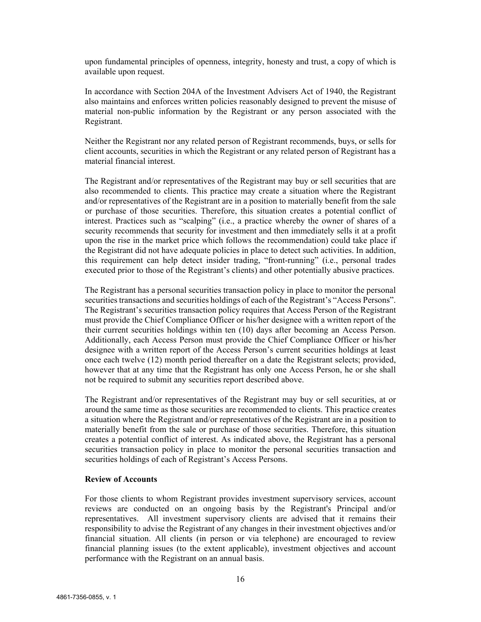upon fundamental principles of openness, integrity, honesty and trust, a copy of which is available upon request.

In accordance with Section 204A of the Investment Advisers Act of 1940, the Registrant also maintains and enforces written policies reasonably designed to prevent the misuse of material non-public information by the Registrant or any person associated with the Registrant.

Neither the Registrant nor any related person of Registrant recommends, buys, or sells for client accounts, securities in which the Registrant or any related person of Registrant has a material financial interest.

The Registrant and/or representatives of the Registrant may buy or sell securities that are also recommended to clients. This practice may create a situation where the Registrant and/or representatives of the Registrant are in a position to materially benefit from the sale or purchase of those securities. Therefore, this situation creates a potential conflict of interest. Practices such as "scalping" (i.e., a practice whereby the owner of shares of a security recommends that security for investment and then immediately sells it at a profit upon the rise in the market price which follows the recommendation) could take place if the Registrant did not have adequate policies in place to detect such activities. In addition, this requirement can help detect insider trading, "front-running" (i.e., personal trades executed prior to those of the Registrant's clients) and other potentially abusive practices.

The Registrant has a personal securities transaction policy in place to monitor the personal securities transactions and securities holdings of each of the Registrant's "Access Persons". The Registrant's securities transaction policy requires that Access Person of the Registrant must provide the Chief Compliance Officer or his/her designee with a written report of the their current securities holdings within ten (10) days after becoming an Access Person. Additionally, each Access Person must provide the Chief Compliance Officer or his/her designee with a written report of the Access Person's current securities holdings at least once each twelve (12) month period thereafter on a date the Registrant selects; provided, however that at any time that the Registrant has only one Access Person, he or she shall not be required to submit any securities report described above.

The Registrant and/or representatives of the Registrant may buy or sell securities, at or around the same time as those securities are recommended to clients. This practice creates a situation where the Registrant and/or representatives of the Registrant are in a position to materially benefit from the sale or purchase of those securities. Therefore, this situation creates a potential conflict of interest. As indicated above, the Registrant has a personal securities transaction policy in place to monitor the personal securities transaction and securities holdings of each of Registrant's Access Persons.

#### **Review of Accounts**

For those clients to whom Registrant provides investment supervisory services, account reviews are conducted on an ongoing basis by the Registrant's Principal and/or representatives. All investment supervisory clients are advised that it remains their responsibility to advise the Registrant of any changes in their investment objectives and/or financial situation. All clients (in person or via telephone) are encouraged to review financial planning issues (to the extent applicable), investment objectives and account performance with the Registrant on an annual basis.